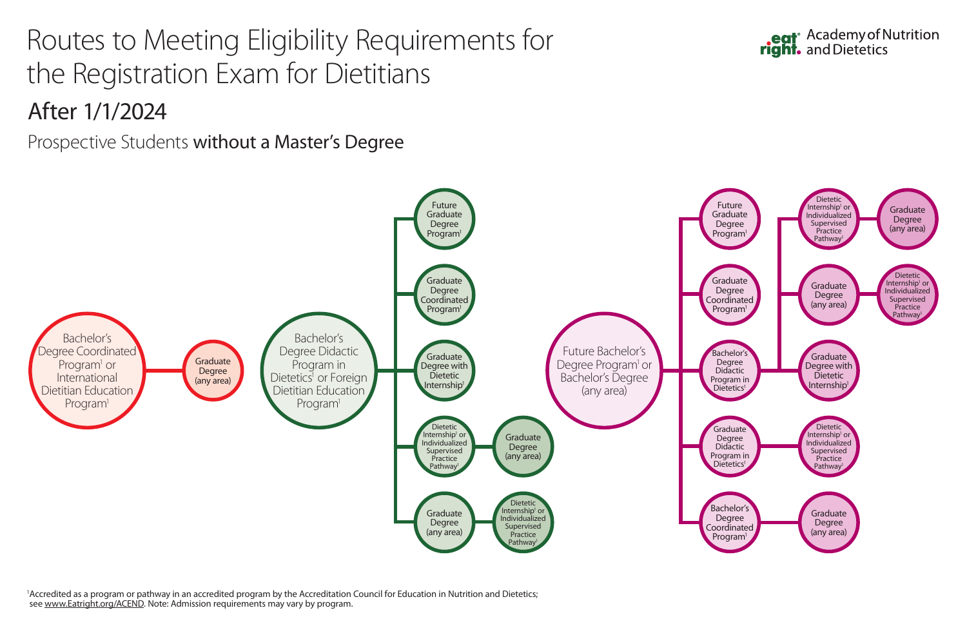<sup>1</sup>Accredited as a program or pathway in an accredited program by the Accreditation Council for Education in Nutrition and Dietetics; see www.Eatright.org/ACEND. Note: Admission requirements may vary by program.



## Routes to Meeting Eligibility Requirements for the Registration Exam for Dietitians



Prospective Students without a Master's Degree

## After 1/1/2024